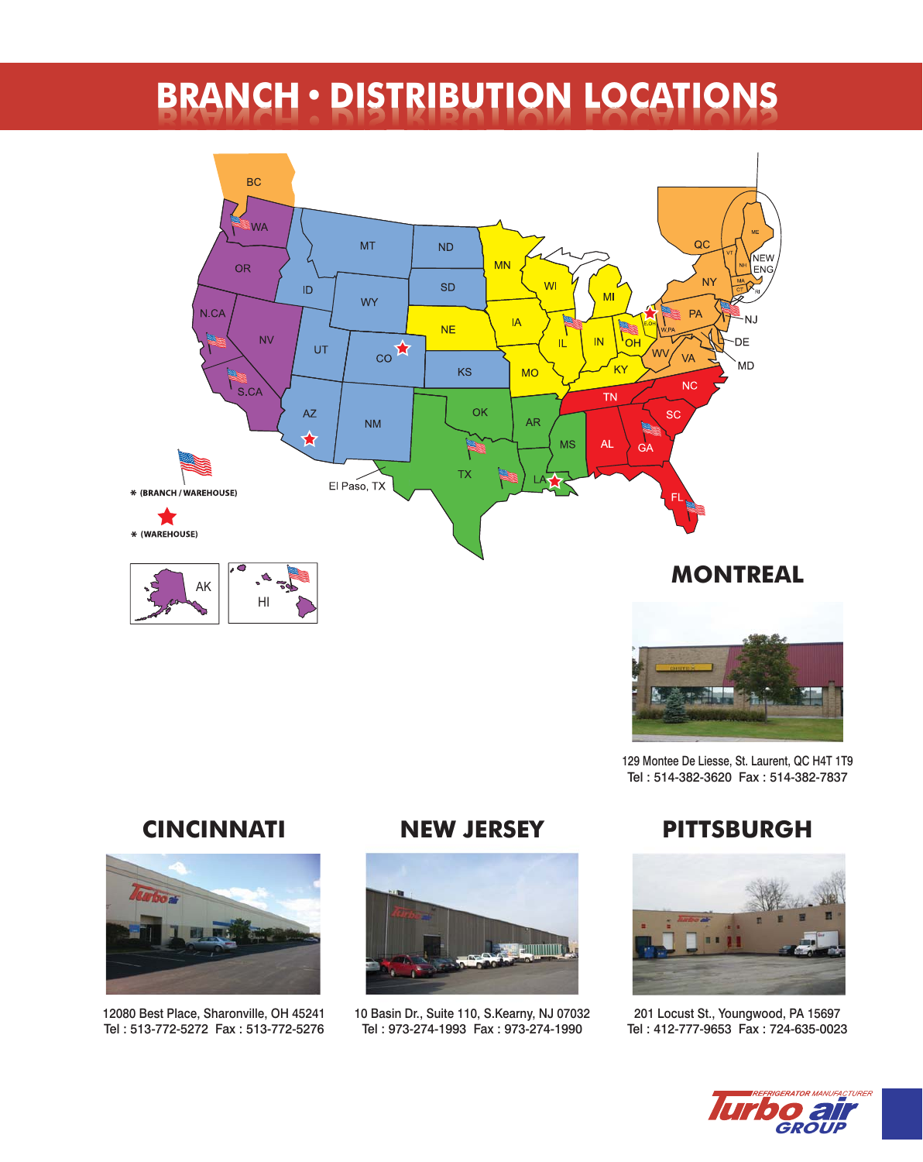# **BRANCH • DISTRIBUTION LOCATIONS**





129 Montee De Liesse, St. Laurent, QC H4T 1T9 Tel : 514-382-3620 Fax : 514-382-7837

## **CINCINNATI**



12080 Best Place, Sharonville, OH 45241 Tel : 513-772-5272 Fax : 513-772-5276

#### **NEW JERSEY**



10 Basin Dr., Suite 110, S.Kearny, NJ 07032 Tel : 973-274-1993 Fax : 973-274-1990

## **PITTSBURGH**



201 Locust St., Youngwood, PA 15697 Tel : 412-777-9653 Fax : 724-635-0023